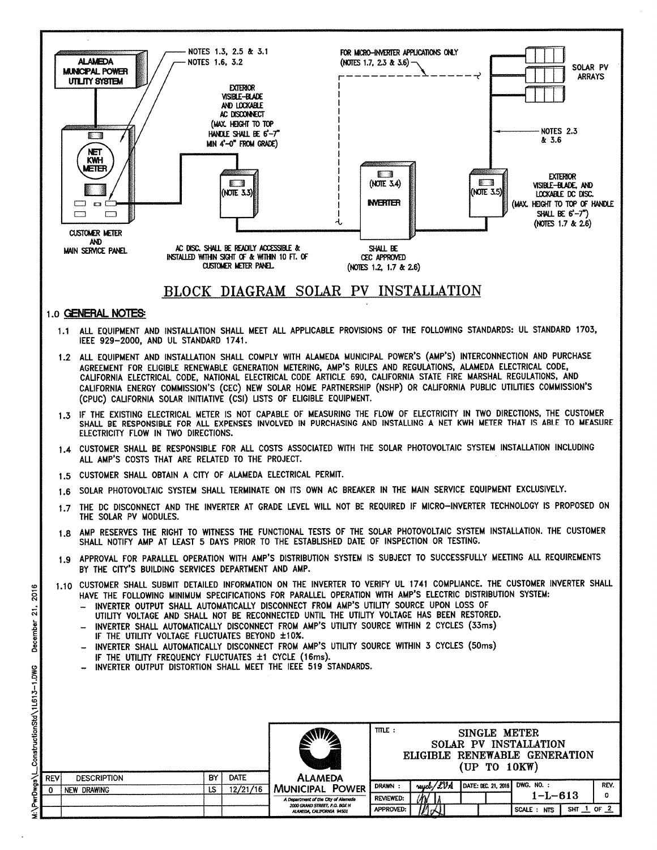

December ConstructionStd\1L613-1.DWG

2016

 $\vec{a}$ 

PwrDwgs\L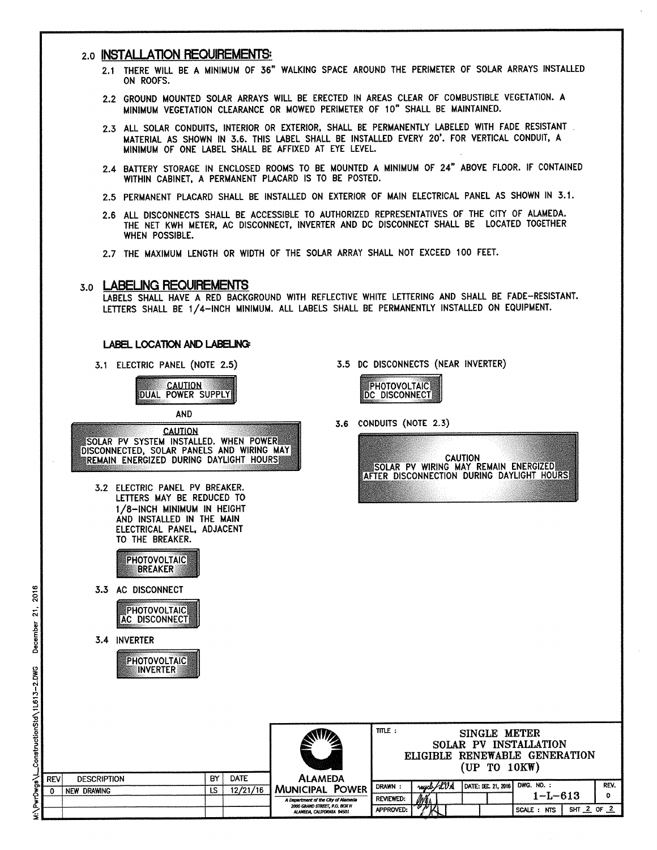#### 2.0 INSTALLATION REQUIREMENTS:

- 2.1 THERE WILL BE A MINIMUM OF 36" WALKING SPACE AROUND THE PERIMETER OF SOLAR ARRAYS INSTALLED ON ROOFS.
- 2.2 GROUND MOUNTED SOLAR ARRAYS WILL BE ERECTED IN AREAS CLEAR OF COMBUSTIBLE VEGETATION. A MINIMUM VEGETATION CLEARANCE OR MOWED PERIMETER OF 10" SHALL BE MAINTAINED.
- 2.3 ALL SOLAR CONDUITS, INTERIOR OR EXTERIOR, SHALL BE PERMANENTLY LABELED WITH FADE RESISTANT. MATERIAL AS SHOWN IN 3.6. THIS LABEL SHALL BE INSTALLED EVERY 20'. FOR VERTICAL CONDUIT, A MINIMUM OF ONE LABEL SHALL BE AFFIXED AT EYE LEVEL.
- 2.4 BATTERY STORAGE IN ENCLOSED ROOMS TO BE MOUNTED A MINIMUM OF 24" ABOVE FLOOR. IF CONTAINED WITHIN CABINET, A PERMANENT PLACARD IS TO BE POSTED.
- 2.5 PERMANENT PLACARD SHALL BE INSTALLED ON EXTERIOR OF MAIN ELECTRICAL PANEL AS SHOWN IN 3.1.
- 2.6 ALL DISCONNECTS SHALL BE ACCESSIBLE TO AUTHORIZED REPRESENTATIVES OF THE CITY OF ALAMEDA. THE NET KWH METER, AC DISCONNECT, INVERTER AND DC DISCONNECT SHALL BE LOCATED TOGETHER WHEN POSSIBLE.
- 2.7 THE MAXIMUM LENGTH OR WIDTH OF THE SOLAR ARRAY SHALL NOT EXCEED 100 FEET.

#### 3.0 LABELING REQUIREMENTS

LABELS SHALL HAVE A RED BACKGROUND WITH REFLECTIVE WHITE LETTERING AND SHALL BE FADE-RESISTANT. LETTERS SHALL BE 1/4-INCH MINIMUM. ALL LABELS SHALL BE PERMANENTLY INSTALLED ON EQUIPMENT.

#### LABEL LOCATION AND LABELING

3.1 ELECTRIC PANEL (NOTE 2.5)



**AND** 



- 3.2 ELECTRIC PANEL PV BREAKER. LETTERS MAY BE REDUCED TO 1/8-INCH MINIMUM IN HEIGHT AND INSTALLED IN THE MAIN ELECTRICAL PANEL, ADJACENT TO THE BREAKER.
	- **PHOTOVOLTAIC BREAKER**
- 3.3 AC DISCONNECT



3.4 INVERTER



3.5 DC DISCONNECTS (NEAR INVERTER)

| PHOTOVOLTAIC |  |
|--------------|--|
|              |  |
|              |  |

3.6 CONDUITS (NOTE 2.3)



|            |                    |    |             |                                                            | $mE$ :<br>SINGLE METER<br>SOLAR PV INSTALLATION<br>ELIGIBLE RENEWABLE GENERATION<br>(UP TO 10KW) |    |  |           |  |  |                     |                       |              |      |
|------------|--------------------|----|-------------|------------------------------------------------------------|--------------------------------------------------------------------------------------------------|----|--|-----------|--|--|---------------------|-----------------------|--------------|------|
| <b>REV</b> | <b>DESCRIPTION</b> | BY | <b>DATE</b> | <b>ALAMEDA</b>                                             |                                                                                                  |    |  |           |  |  |                     |                       |              |      |
|            | NEW DRAWING        | LS | 12/21/16    | MUNICIPAL POWER                                            | DRAWN :                                                                                          |    |  | reych/LVA |  |  | DATE: DEC. 21, 2016 | DWG, NO. :            |              | REV. |
|            |                    |    |             | A Department of the City of Alameda                        | reviewed:                                                                                        | Mí |  |           |  |  |                     | $1 - L - 613$         |              | ٥    |
|            |                    |    |             | 2000 GRAND STREET, P.O. BOX H<br>ALAMEDA, CALIFORNIA 94501 | APPROVED:                                                                                        |    |  |           |  |  |                     | SCALE :<br><b>NTS</b> | $SHT$ 2 OF 2 |      |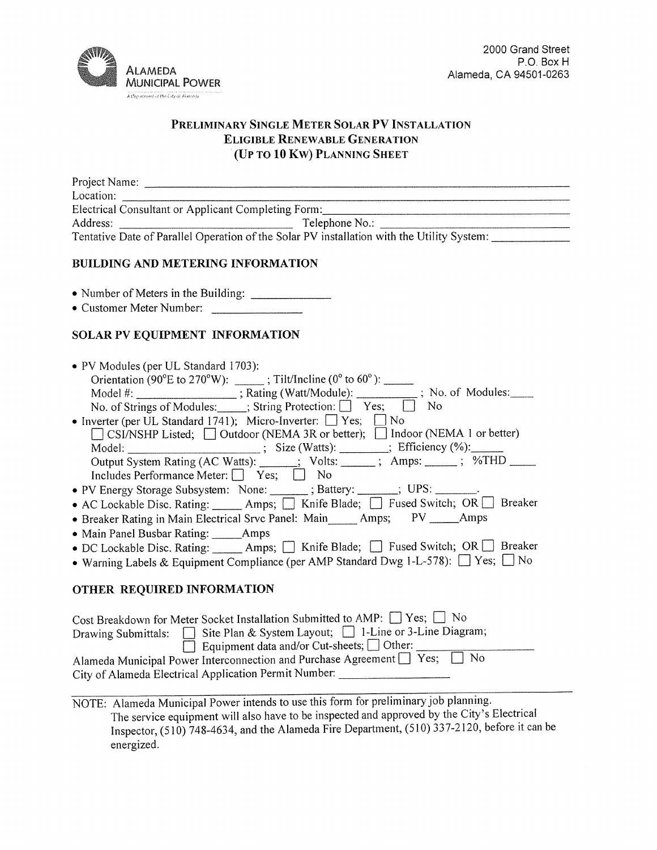

# PRELIMINARY SINGLE METER SOLAR PV INSTALLATION **ELIGIBLE RENEWABLE GENERATION** (UP TO 10 KW) PLANNING SHEET

| Project Name:                                       |                                                                                            |  |
|-----------------------------------------------------|--------------------------------------------------------------------------------------------|--|
| Location:                                           |                                                                                            |  |
| Electrical Consultant or Applicant Completing Form: |                                                                                            |  |
| Address:                                            | Telephone No.:                                                                             |  |
|                                                     | Tentative Date of Parallel Operation of the Solar PV installation with the Utility System: |  |
|                                                     |                                                                                            |  |

# **BUILDING AND METERING INFORMATION**

• Customer Meter Number:

# SOLAR PV EQUIPMENT INFORMATION

| • PV Modules (per UL Standard 1703):                                                                                                                                                                                                                                                                                                                            |
|-----------------------------------------------------------------------------------------------------------------------------------------------------------------------------------------------------------------------------------------------------------------------------------------------------------------------------------------------------------------|
| Orientation (90°E to 270°W): $\frac{1}{2}$ ; Tilt/Incline (0° to 60°): $\frac{1}{2}$                                                                                                                                                                                                                                                                            |
| Model #: ________________; Rating (Watt/Module): _________; No. of Modules: ____                                                                                                                                                                                                                                                                                |
| No. of Strings of Modules: _____; String Protection: $\Box$ Yes; $\Box$ No                                                                                                                                                                                                                                                                                      |
| • Inverter (per UL Standard 1741); Micro-Inverter: $\Box$ Yes; $\Box$ No                                                                                                                                                                                                                                                                                        |
| □ CSI/NSHP Listed; □ Outdoor (NEMA 3R or better); □ Indoor (NEMA 1 or better)                                                                                                                                                                                                                                                                                   |
| Model: _________________________; Size (Watts): _________; Efficiency (%): ______                                                                                                                                                                                                                                                                               |
| Output System Rating (AC Watts): ______; Volts: ______; Amps: _____; %THD ____                                                                                                                                                                                                                                                                                  |
| Includes Performance Meter:   Yes;   No                                                                                                                                                                                                                                                                                                                         |
| • PV Energy Storage Subsystem: None: ______; Battery: ______; UPS: _______.                                                                                                                                                                                                                                                                                     |
| • AC Lockable Disc. Rating: ______ Amps; _] Knife Blade; _] Fused Switch; OR D Breaker                                                                                                                                                                                                                                                                          |
| • Breaker Rating in Main Electrical Srvc Panel: Main_____ Amps; PV _____ Amps                                                                                                                                                                                                                                                                                   |
| • Main Panel Busbar Rating: ______Amps                                                                                                                                                                                                                                                                                                                          |
| • DC Lockable Disc. Rating: ______ Amps; _] Knife Blade; _] Fused Switch; OR __ Breaker                                                                                                                                                                                                                                                                         |
| • Warning Labels & Equipment Compliance (per AMP Standard Dwg 1-L-578): $\Box$ Yes; $\Box$ No                                                                                                                                                                                                                                                                   |
| OTHER REQUIRED INFORMATION                                                                                                                                                                                                                                                                                                                                      |
| Cost Breakdown for Meter Socket Installation Submitted to AMP: $\Box$ Yes; $\Box$ No                                                                                                                                                                                                                                                                            |
| Drawing Submittals: $\Box$ Site Plan & System Layout; $\Box$ 1-Line or 3-Line Diagram;                                                                                                                                                                                                                                                                          |
| □ Equipment data and/or Cut-sheets; □ Other: _______                                                                                                                                                                                                                                                                                                            |
| $\overline{11}$ $\overline{12}$ $\overline{13}$ $\overline{13}$ $\overline{13}$ $\overline{13}$ $\overline{13}$ $\overline{13}$ $\overline{13}$ $\overline{13}$ $\overline{13}$ $\overline{13}$ $\overline{13}$ $\overline{13}$ $\overline{13}$ $\overline{13}$ $\overline{13}$ $\overline{13}$ $\overline{13}$ $\overline{13}$ $\overline{13}$ $\overline{13}$ |

Alameda Municipal Power Interconnection and Purchase Agreement ■ Yes; ■ No City of Alameda Electrical Application Permit Number: \_\_\_\_\_\_\_\_\_\_\_\_\_\_\_\_\_\_\_\_\_\_\_\_\_\_

NOTE: Alameda Municipal Power intends to use this form for preliminary job planning. The service equipment will also have to be inspected and approved by the City's Electrical Inspector,  $(510)$  748-4634, and the Alameda Fire Department,  $(510)$  337-2120, before it can be energized.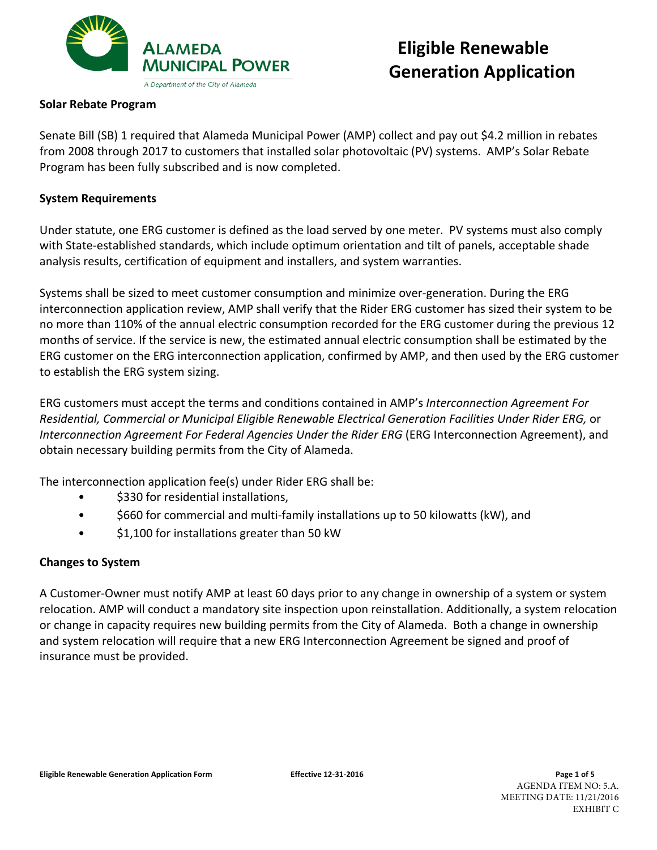

# **Eligible Renewable Generation Application**

# **Solar Rebate Program**

Senate Bill (SB) 1 required that Alameda Municipal Power (AMP) collect and pay out \$4.2 million in rebates from 2008 through 2017 to customers that installed solar photovoltaic (PV) systems. AMP's Solar Rebate Program has been fully subscribed and is now completed.

# **System Requirements**

Under statute, one ERG customer is defined as the load served by one meter. PV systems must also comply with State-established standards, which include optimum orientation and tilt of panels, acceptable shade analysis results, certification of equipment and installers, and system warranties.

Systems shall be sized to meet customer consumption and minimize over-generation. During the ERG interconnection application review, AMP shall verify that the Rider ERG customer has sized their system to be no more than 110% of the annual electric consumption recorded for the ERG customer during the previous 12 months of service. If the service is new, the estimated annual electric consumption shall be estimated by the ERG customer on the ERG interconnection application, confirmed by AMP, and then used by the ERG customer to establish the ERG system sizing.

ERG customers must accept the terms and conditions contained in AMP's Interconnection Agreement For *Residential, Commercial or Municipal Eligible Renewable Electrical Generation Facilities Under Rider ERG,* or *Interconnection Agreement For Federal Agencies Under the Rider ERG* (ERG Interconnection Agreement), and obtain necessary building permits from the City of Alameda.

The interconnection application  $fee(s)$  under Rider ERG shall be:

- \$330 for residential installations,
- \$660 for commercial and multi-family installations up to 50 kilowatts (kW), and
- \$1,100 for installations greater than 50 kW

# **Changes to System**

A Customer-Owner must notify AMP at least 60 days prior to any change in ownership of a system or system relocation. AMP will conduct a mandatory site inspection upon reinstallation. Additionally, a system relocation or change in capacity requires new building permits from the City of Alameda. Both a change in ownership and system relocation will require that a new ERG Interconnection Agreement be signed and proof of insurance must be provided.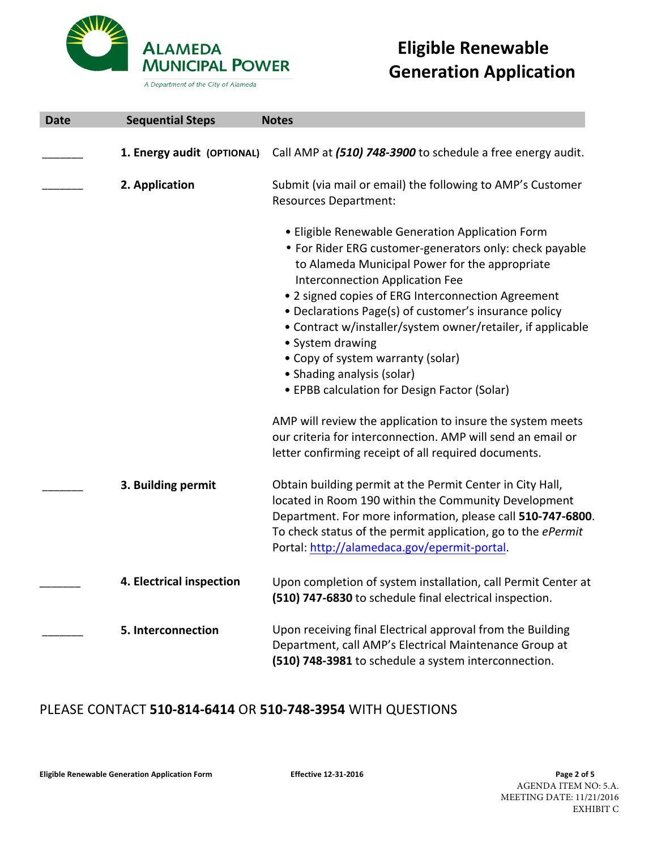

A Department of the City of Alameda

# **Eligible Renewable Generation Application**

| <b>Date</b> | <b>Sequential Steps</b>    | <b>Notes</b>                                                                                                                                                                                                                                                                                                                                                                                                                                                                                                          |
|-------------|----------------------------|-----------------------------------------------------------------------------------------------------------------------------------------------------------------------------------------------------------------------------------------------------------------------------------------------------------------------------------------------------------------------------------------------------------------------------------------------------------------------------------------------------------------------|
|             | 1. Energy audit (OPTIONAL) | Call AMP at (510) 748-3900 to schedule a free energy audit.                                                                                                                                                                                                                                                                                                                                                                                                                                                           |
|             | 2. Application             | Submit (via mail or email) the following to AMP's Customer<br><b>Resources Department:</b>                                                                                                                                                                                                                                                                                                                                                                                                                            |
|             |                            | • Eligible Renewable Generation Application Form<br>• For Rider ERG customer-generators only: check payable<br>to Alameda Municipal Power for the appropriate<br>Interconnection Application Fee<br>. 2 signed copies of ERG Interconnection Agreement<br>• Declarations Page(s) of customer's insurance policy<br>• Contract w/installer/system owner/retailer, if applicable<br>• System drawing<br>• Copy of system warranty (solar)<br>• Shading analysis (solar)<br>• EPBB calculation for Design Factor (Solar) |
|             |                            | AMP will review the application to insure the system meets<br>our criteria for interconnection. AMP will send an email or<br>letter confirming receipt of all required documents.                                                                                                                                                                                                                                                                                                                                     |
|             | 3. Building permit         | Obtain building permit at the Permit Center in City Hall,<br>located in Room 190 within the Community Development<br>Department. For more information, please call 510-747-6800.<br>To check status of the permit application, go to the ePermit<br>Portal: http://alamedaca.gov/epermit-portal.                                                                                                                                                                                                                      |
|             | 4. Electrical inspection   | Upon completion of system installation, call Permit Center at<br>(510) 747-6830 to schedule final electrical inspection.                                                                                                                                                                                                                                                                                                                                                                                              |
|             | 5. Interconnection         | Upon receiving final Electrical approval from the Building<br>Department, call AMP's Electrical Maintenance Group at<br>(510) 748-3981 to schedule a system interconnection.                                                                                                                                                                                                                                                                                                                                          |

# PLEASE CONTACT **510-814-6414** OR **510-748-3954** WITH QUESTIONS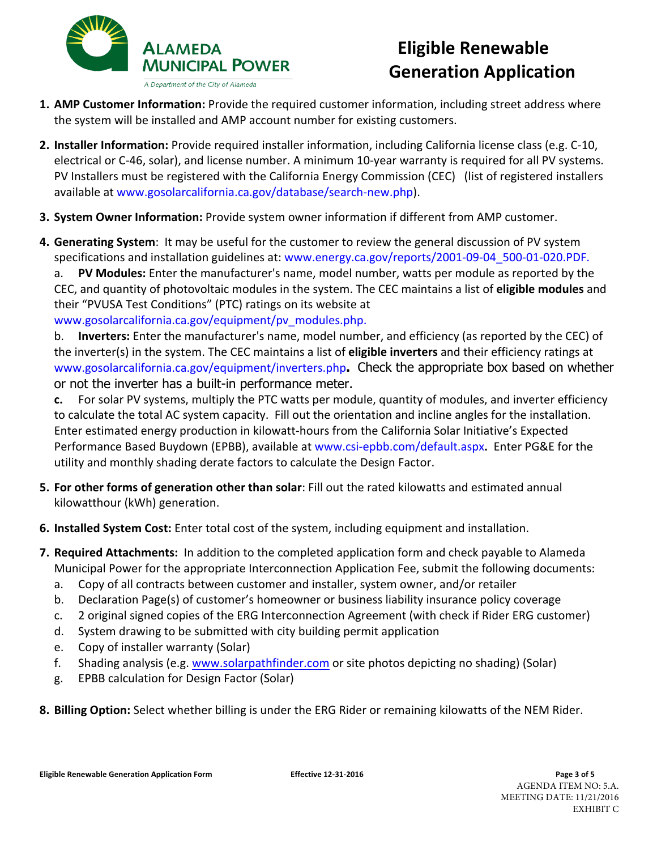

# **Eligible Renewable Generation Application**

- **1. AMP Customer Information:** Provide the required customer information, including street address where the system will be installed and AMP account number for existing customers.
- **2.** Installer Information: Provide required installer information, including California license class (e.g. C-10, electrical or C-46, solar), and license number. A minimum 10-year warranty is required for all PV systems. PV Installers must be registered with the California Energy Commission (CEC) (list of registered installers available at www.gosolarcalifornia.ca.gov/database/search-new.php).
- **3. System Owner Information:** Provide system owner information if different from AMP customer.
- **4. Generating System:** It may be useful for the customer to review the general discussion of PV system specifications and installation guidelines at: www.energy.ca.gov/reports/2001-09-04 500-01-020.PDF.

a. PV Modules: Enter the manufacturer's name, model number, watts per module as reported by the CEC, and quantity of photovoltaic modules in the system. The CEC maintains a list of eligible modules and their "PVUSA Test Conditions" (PTC) ratings on its website at www.gosolarcalifornia.ca.gov/equipment/pv\_modules.php.

b. **Inverters:** Enter the manufacturer's name, model number, and efficiency (as reported by the CEC) of the inverter(s) in the system. The CEC maintains a list of **eligible inverters** and their efficiency ratings at www.gosolarcalifornia.ca.gov/equipment/inverters.php**.** Check the appropriate box based on whether or not the inverter has a built-in performance meter.

**c.** For solar PV systems, multiply the PTC watts per module, quantity of modules, and inverter efficiency to calculate the total AC system capacity. Fill out the orientation and incline angles for the installation. Enter estimated energy production in kilowatt-hours from the California Solar Initiative's Expected Performance Based Buydown (EPBB), available at www.csi-epbb.com/default.aspx. Enter PG&E for the utility and monthly shading derate factors to calculate the Design Factor.

- **5. For other forms of generation other than solar:** Fill out the rated kilowatts and estimated annual kilowatthour (kWh) generation.
- **6. Installed System Cost:** Enter total cost of the system, including equipment and installation.
- **7. Required Attachments:** In addition to the completed application form and check payable to Alameda Municipal Power for the appropriate Interconnection Application Fee, submit the following documents:
	- a. Copy of all contracts between customer and installer, system owner, and/or retailer
	- b. Declaration Page(s) of customer's homeowner or business liability insurance policy coverage
	- c. 2 original signed copies of the ERG Interconnection Agreement (with check if Rider ERG customer)
	- d. System drawing to be submitted with city building permit application
	- e. Copy of installer warranty (Solar)
	- f. Shading analysis (e.g. www.solarpathfinder.com or site photos depicting no shading) (Solar)
	- g. EPBB calculation for Design Factor (Solar)
- **8. Billing Option:** Select whether billing is under the ERG Rider or remaining kilowatts of the NEM Rider.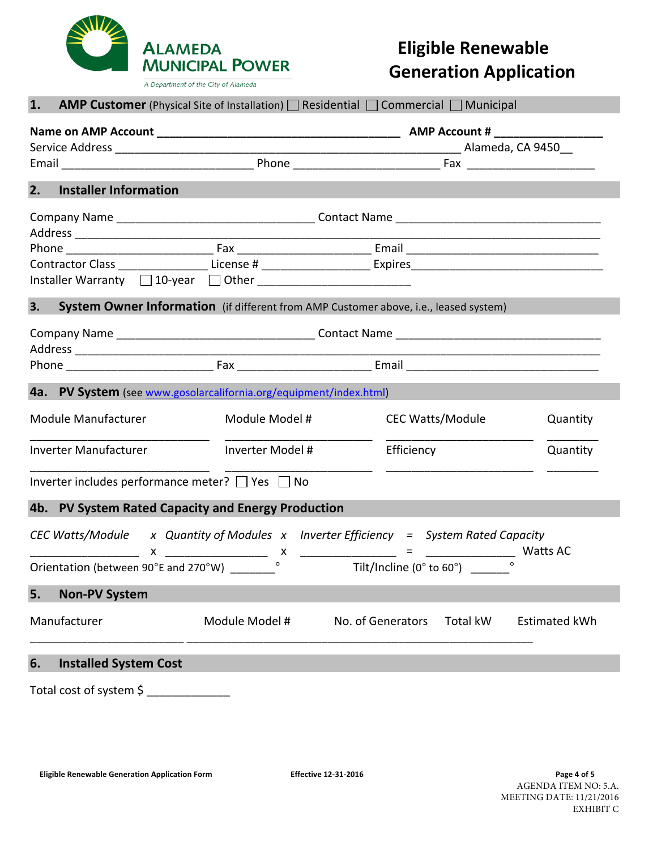

A Department of the City of Alameda

# **Eligible Renewable Generation Application**

| 1. |                                                                    |                  | <b>AMP Customer</b> (Physical Site of Installation) $\Box$ Residential $\Box$ Commercial $\Box$ Municipal      |                      |
|----|--------------------------------------------------------------------|------------------|----------------------------------------------------------------------------------------------------------------|----------------------|
|    |                                                                    |                  |                                                                                                                |                      |
| 2. | <b>Installer Information</b>                                       |                  |                                                                                                                |                      |
|    |                                                                    |                  |                                                                                                                |                      |
|    |                                                                    |                  | Contractor Class ____________________License # _______________________Expires ________________________________ |                      |
|    |                                                                    |                  |                                                                                                                |                      |
| 3. |                                                                    |                  | System Owner Information (if different from AMP Customer above, i.e., leased system)                           |                      |
|    |                                                                    |                  |                                                                                                                |                      |
|    |                                                                    |                  |                                                                                                                |                      |
|    | 4a. PV System (see www.gosolarcalifornia.org/equipment/index.html) |                  |                                                                                                                |                      |
|    | Module Manufacturer                                                | Module Model #   | <b>CEC Watts/Module</b>                                                                                        | Quantity             |
|    | Inverter Manufacturer                                              | Inverter Model # | Efficiency                                                                                                     | Quantity             |
|    | Inverter includes performance meter? $\Box$ Yes $\Box$ No          |                  |                                                                                                                |                      |
|    | 4b. PV System Rated Capacity and Energy Production                 |                  |                                                                                                                |                      |
|    | Orientation (between 90°E and 270°W) _________                     |                  | CEC Watts/Module x Quantity of Modules x Inverter Efficiency = System Rated Capacity                           | Watts AC             |
| 5. | <b>Non-PV System</b>                                               |                  |                                                                                                                |                      |
|    | Manufacturer                                                       | Module Model #   | No. of Generators<br>Total kW                                                                                  | <b>Estimated kWh</b> |
| 6. | <b>Installed System Cost</b>                                       |                  |                                                                                                                |                      |
|    | Total cost of system \$                                            |                  |                                                                                                                |                      |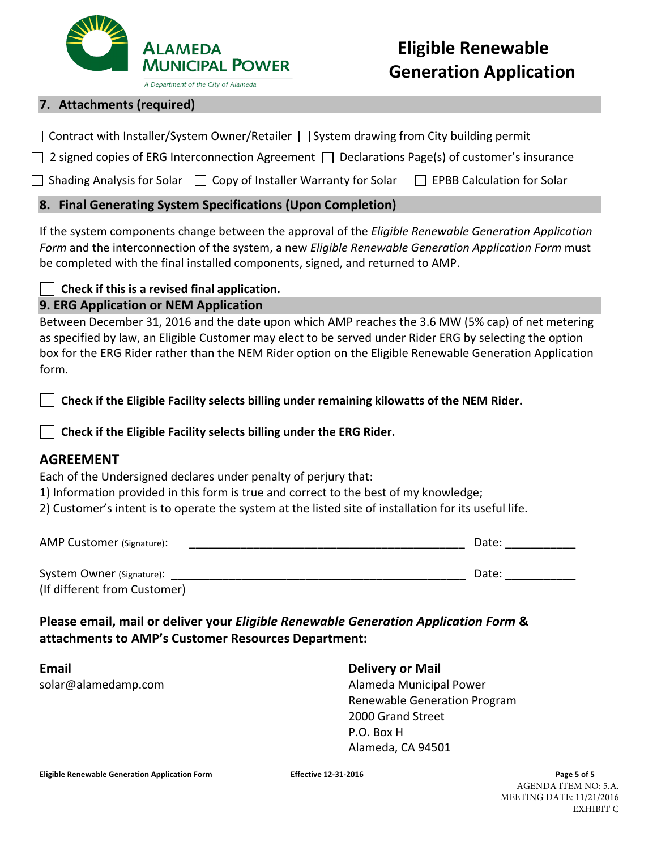

#### A Department of the City of Alameda

# **7. Attachments (required)**

ſ

|  | $\Box$ Contract with Installer/System Owner/Retailer $\Box$ System drawing from City building permit |  |  |  |
|--|------------------------------------------------------------------------------------------------------|--|--|--|
|  |                                                                                                      |  |  |  |

 $\Box$  2 signed copies of ERG Interconnection Agreement  $\Box$  Declarations Page(s) of customer's insurance

□ Shading Analysis for Solar □ Copy of Installer Warranty for Solar □ EPBB Calculation for Solar

# **8. Final Generating System Specifications (Upon Completion)**

If the system components change between the approval of the *Eligible Renewable Generation Application* Form and the interconnection of the system, a new Eligible Renewable Generation Application Form must be completed with the final installed components, signed, and returned to AMP.

Check if this is a revised final application.

# **9. ERG Application or NEM Application**

Between December 31, 2016 and the date upon which AMP reaches the 3.6 MW (5% cap) of net metering as specified by law, an Eligible Customer may elect to be served under Rider ERG by selecting the option box for the ERG Rider rather than the NEM Rider option on the Eligible Renewable Generation Application form. 

Check if the Eligible Facility selects billing under remaining kilowatts of the NEM Rider.

# Check if the Eligible Facility selects billing under the ERG Rider.

# **AGREEMENT**

Each of the Undersigned declares under penalty of perjury that:

1) Information provided in this form is true and correct to the best of my knowledge;

2) Customer's intent is to operate the system at the listed site of installation for its useful life.

| AMP Customer (Signature):    | Date: |
|------------------------------|-------|
| System Owner (Signature):    | Date: |
| (If different from Customer) |       |

# **Please email, mail or deliver your** *Eligible Renewable Generation Application Form* **&** attachments to AMP's Customer Resources Department:

**Email Delivery** or Mail

solar@alamedamp.com and a solar Alameda Municipal Power Renewable Generation Program 2000 Grand Street P.O. Box H Alameda, CA 94501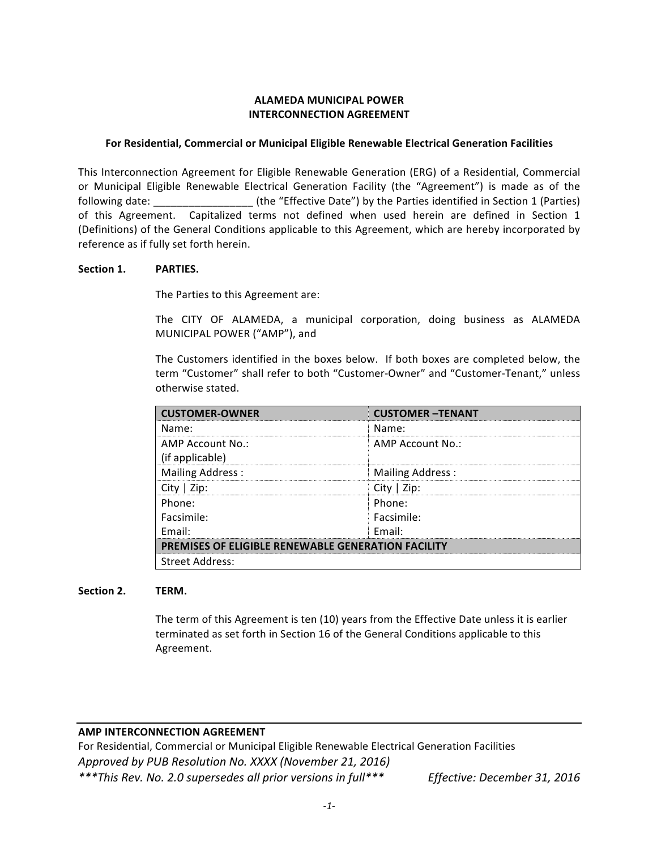# **ALAMEDA MUNICIPAL POWER INTERCONNECTION AGREEMENT**

#### For Residential, Commercial or Municipal Eligible Renewable Electrical Generation Facilities

This Interconnection Agreement for Eligible Renewable Generation (ERG) of a Residential, Commercial or Municipal Eligible Renewable Electrical Generation Facility (the "Agreement") is made as of the following date:  $\qquad \qquad$  (the "Effective Date") by the Parties identified in Section 1 (Parties) of this Agreement. Capitalized terms not defined when used herein are defined in Section 1 (Definitions) of the General Conditions applicable to this Agreement, which are hereby incorporated by reference as if fully set forth herein.

#### Section 1. **PARTIES.**

The Parties to this Agreement are:

The CITY OF ALAMEDA, a municipal corporation, doing business as ALAMEDA MUNICIPAL POWER ("AMP"), and

The Customers identified in the boxes below. If both boxes are completed below, the term "Customer" shall refer to both "Customer-Owner" and "Customer-Tenant," unless otherwise stated.

| <b>CUSTOMER-OWNER</b>                                     | <b>CUSTOMER-TENANT</b> |  |  |
|-----------------------------------------------------------|------------------------|--|--|
| Name:                                                     | Name:                  |  |  |
| AMP Account No.:                                          | AMP Account No.:       |  |  |
| (if applicable)                                           |                        |  |  |
| <b>Mailing Address:</b>                                   | Mailing Address:       |  |  |
| City   Zip:                                               | City $ $ Zip:          |  |  |
| Phone:                                                    | Phone:                 |  |  |
| Facsimile:                                                | Facsimile:             |  |  |
| Fmail:                                                    | Fmail:                 |  |  |
| <b>PREMISES OF ELIGIBLE RENEWABLE GENERATION FACILITY</b> |                        |  |  |
| <b>Street Address:</b>                                    |                        |  |  |

#### Section 2. TERM.

The term of this Agreement is ten (10) years from the Effective Date unless it is earlier terminated as set forth in Section 16 of the General Conditions applicable to this Agreement.

# **AMP INTERCONNECTION AGREEMENT**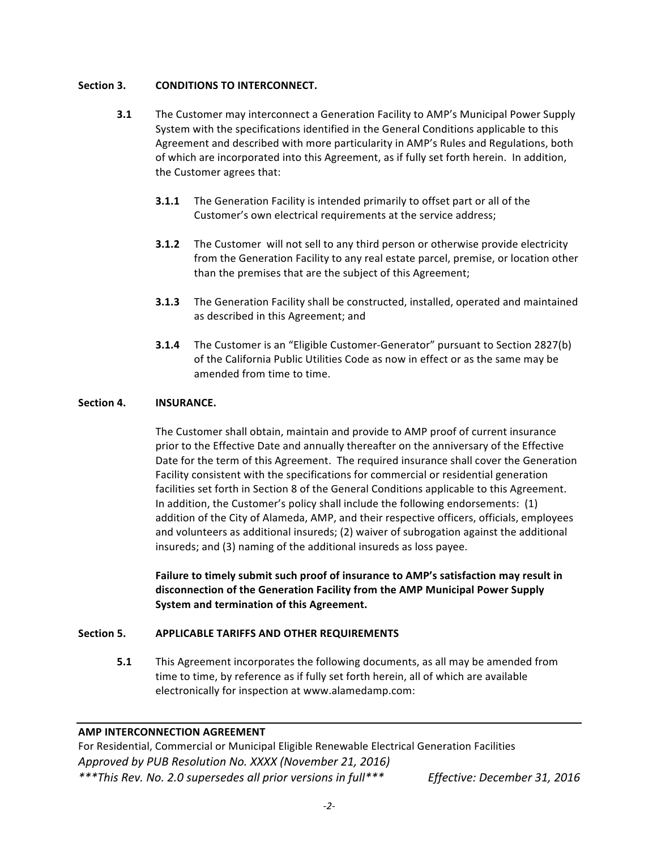# **Section 3. CONDITIONS TO INTERCONNECT.**

- **3.1** The Customer may interconnect a Generation Facility to AMP's Municipal Power Supply System with the specifications identified in the General Conditions applicable to this Agreement and described with more particularity in AMP's Rules and Regulations, both of which are incorporated into this Agreement, as if fully set forth herein. In addition, the Customer agrees that:
	- **3.1.1** The Generation Facility is intended primarily to offset part or all of the Customer's own electrical requirements at the service address;
	- **3.1.2** The Customer will not sell to any third person or otherwise provide electricity from the Generation Facility to any real estate parcel, premise, or location other than the premises that are the subject of this Agreement;
	- **3.1.3** The Generation Facility shall be constructed, installed, operated and maintained as described in this Agreement; and
	- **3.1.4** The Customer is an "Eligible Customer-Generator" pursuant to Section 2827(b) of the California Public Utilities Code as now in effect or as the same may be amended from time to time.

# Section 4. **INSURANCE.**

The Customer shall obtain, maintain and provide to AMP proof of current insurance prior to the Effective Date and annually thereafter on the anniversary of the Effective Date for the term of this Agreement. The required insurance shall cover the Generation Facility consistent with the specifications for commercial or residential generation facilities set forth in Section 8 of the General Conditions applicable to this Agreement. In addition, the Customer's policy shall include the following endorsements:  $(1)$ addition of the City of Alameda, AMP, and their respective officers, officials, employees and volunteers as additional insureds; (2) waiver of subrogation against the additional insureds; and (3) naming of the additional insureds as loss payee.

Failure to timely submit such proof of insurance to AMP's satisfaction may result in disconnection of the Generation Facility from the AMP Municipal Power Supply **System and termination of this Agreement.**

# Section 5. APPLICABLE TARIFFS AND OTHER REQUIREMENTS

**5.1** This Agreement incorporates the following documents, as all may be amended from time to time, by reference as if fully set forth herein, all of which are available electronically for inspection at www.alamedamp.com:

# **AMP INTERCONNECTION AGREEMENT**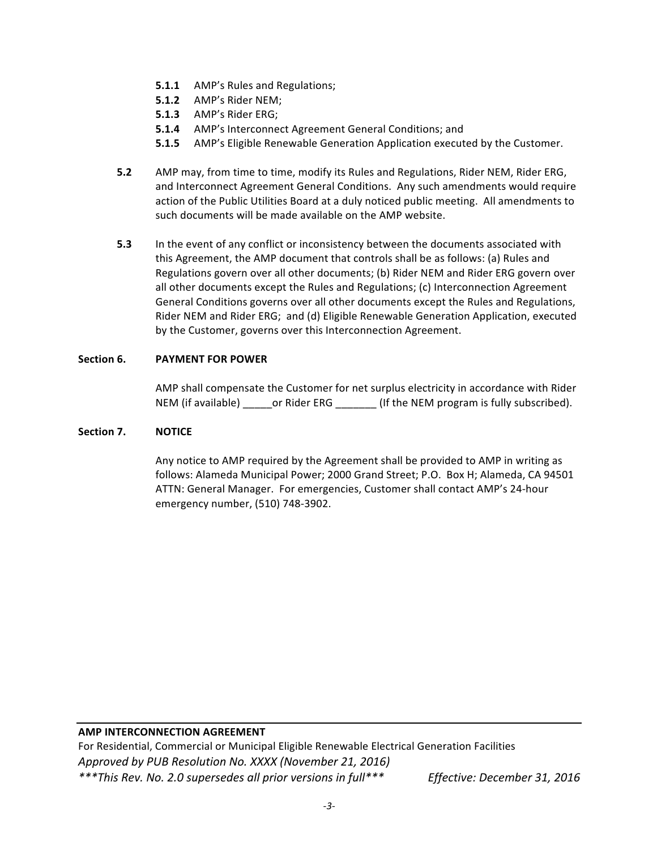- **5.1.1** AMP's Rules and Regulations;
- **5.1.2** AMP's Rider NEM;
- **5.1.3** AMP's Rider ERG;
- **5.1.4** AMP's Interconnect Agreement General Conditions; and
- **5.1.5** AMP's Eligible Renewable Generation Application executed by the Customer.
- **5.2** AMP may, from time to time, modify its Rules and Regulations, Rider NEM, Rider ERG, and Interconnect Agreement General Conditions. Any such amendments would require action of the Public Utilities Board at a duly noticed public meeting. All amendments to such documents will be made available on the AMP website.
- **5.3** In the event of any conflict or inconsistency between the documents associated with this Agreement, the AMP document that controls shall be as follows: (a) Rules and Regulations govern over all other documents; (b) Rider NEM and Rider ERG govern over all other documents except the Rules and Regulations; (c) Interconnection Agreement General Conditions governs over all other documents except the Rules and Regulations, Rider NEM and Rider ERG; and (d) Eligible Renewable Generation Application, executed by the Customer, governs over this Interconnection Agreement.

# **Section 6. PAYMENT FOR POWER**

AMP shall compensate the Customer for net surplus electricity in accordance with Rider NEM (if available) \_\_\_\_\_\_or Rider ERG \_\_\_\_\_\_\_\_(If the NEM program is fully subscribed).

# Section 7. **NOTICE**

Any notice to AMP required by the Agreement shall be provided to AMP in writing as follows: Alameda Municipal Power; 2000 Grand Street; P.O. Box H; Alameda, CA 94501 ATTN: General Manager. For emergencies, Customer shall contact AMP's 24-hour emergency number, (510) 748-3902. 

# **AMP INTERCONNECTION AGREEMENT**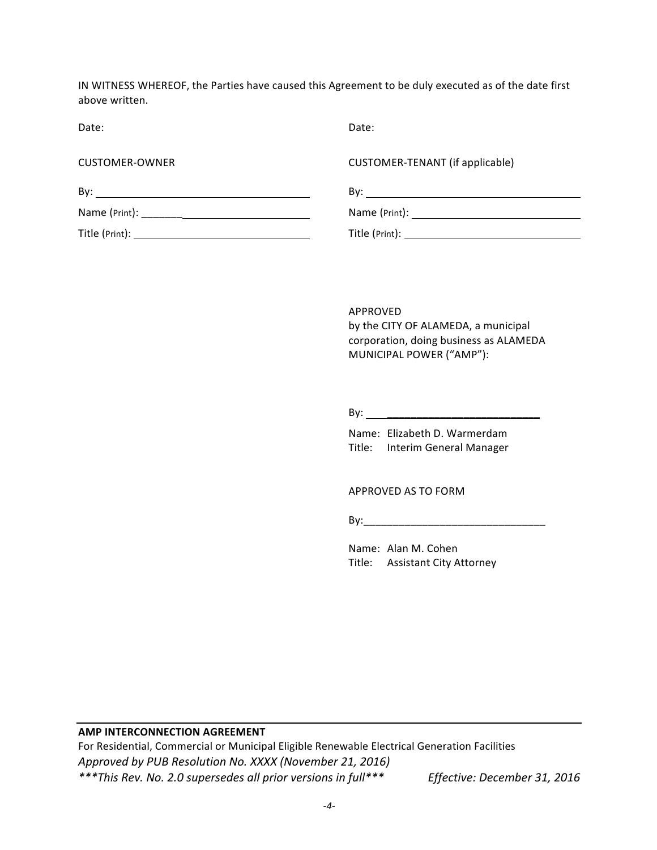IN WITNESS WHEREOF, the Parties have caused this Agreement to be duly executed as of the date first above written.

Date: **Date:** Date: **Date:** Partnership of the Date: **Date:** Partnership of the Date:

| <b>CUSTOMER-OWNER</b> | CUSTOMER-TENANT (if applicable)      |
|-----------------------|--------------------------------------|
| Bv:                   | Bv:                                  |
|                       |                                      |
| Title (Print):        | $\mathsf{Title}\ (\mathsf{Print})$ : |

APPROVED by the CITY OF ALAMEDA, a municipal corporation, doing business as ALAMEDA MUNICIPAL POWER ("AMP"):

By: \_\_\_\_\_\_\_\_\_\_\_\_\_\_\_\_\_\_\_\_\_\_\_\_\_\_

Name: Elizabeth D. Warmerdam Title: Interim General Manager

APPROVED AS TO FORM

By:\_\_\_\_\_\_\_\_\_\_\_\_\_\_\_\_\_\_\_\_\_\_\_\_\_\_\_\_\_\_\_

Name: Alan M. Cohen Title: Assistant City Attorney

#### **AMP INTERCONNECTION AGREEMENT**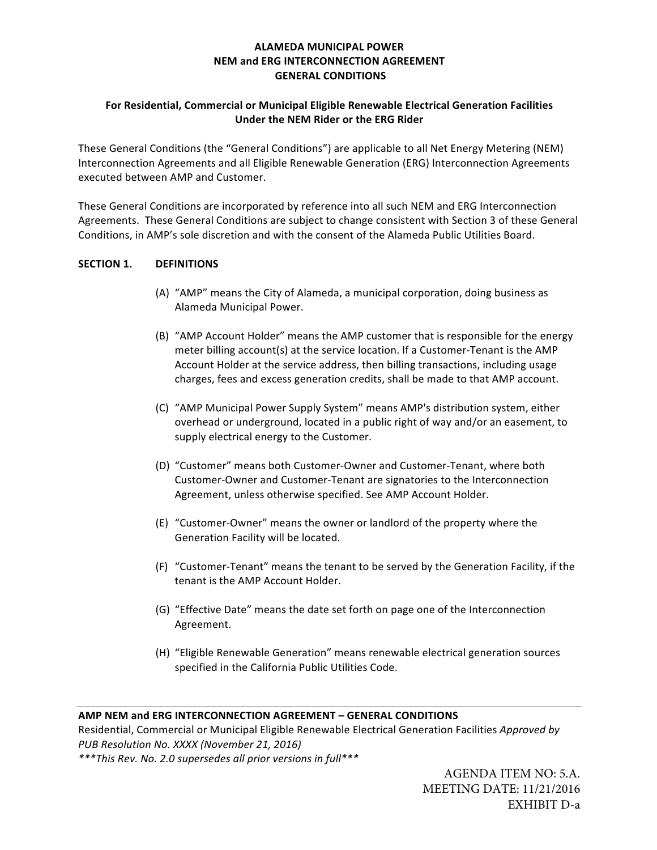# **ALAMEDA MUNICIPAL POWER NEM and ERG INTERCONNECTION AGREEMENT GENERAL CONDITIONS**

# **For Residential, Commercial or Municipal Eligible Renewable Electrical Generation Facilities Under the NEM Rider or the ERG Rider**

These General Conditions (the "General Conditions") are applicable to all Net Energy Metering (NEM) Interconnection Agreements and all Eligible Renewable Generation (ERG) Interconnection Agreements executed between AMP and Customer.

These General Conditions are incorporated by reference into all such NEM and ERG Interconnection Agreements. These General Conditions are subject to change consistent with Section 3 of these General Conditions, in AMP's sole discretion and with the consent of the Alameda Public Utilities Board.

# **SECTION 1. DEFINITIONS**

- (A) "AMP" means the City of Alameda, a municipal corporation, doing business as Alameda Municipal Power.
- (B) "AMP Account Holder" means the AMP customer that is responsible for the energy meter billing account(s) at the service location. If a Customer-Tenant is the AMP Account Holder at the service address, then billing transactions, including usage charges, fees and excess generation credits, shall be made to that AMP account.
- (C) "AMP Municipal Power Supply System" means AMP's distribution system, either overhead or underground, located in a public right of way and/or an easement, to supply electrical energy to the Customer.
- (D) "Customer" means both Customer-Owner and Customer-Tenant, where both Customer-Owner and Customer-Tenant are signatories to the Interconnection Agreement, unless otherwise specified. See AMP Account Holder.
- (E) "Customer-Owner" means the owner or landlord of the property where the Generation Facility will be located.
- (F) "Customer-Tenant" means the tenant to be served by the Generation Facility, if the tenant is the AMP Account Holder.
- (G) "Effective Date" means the date set forth on page one of the Interconnection Agreement.
- (H) "Eligible Renewable Generation" means renewable electrical generation sources specified in the California Public Utilities Code.

#### **AMP NEM and ERG INTERCONNECTION AGREEMENT – GENERAL CONDITIONS**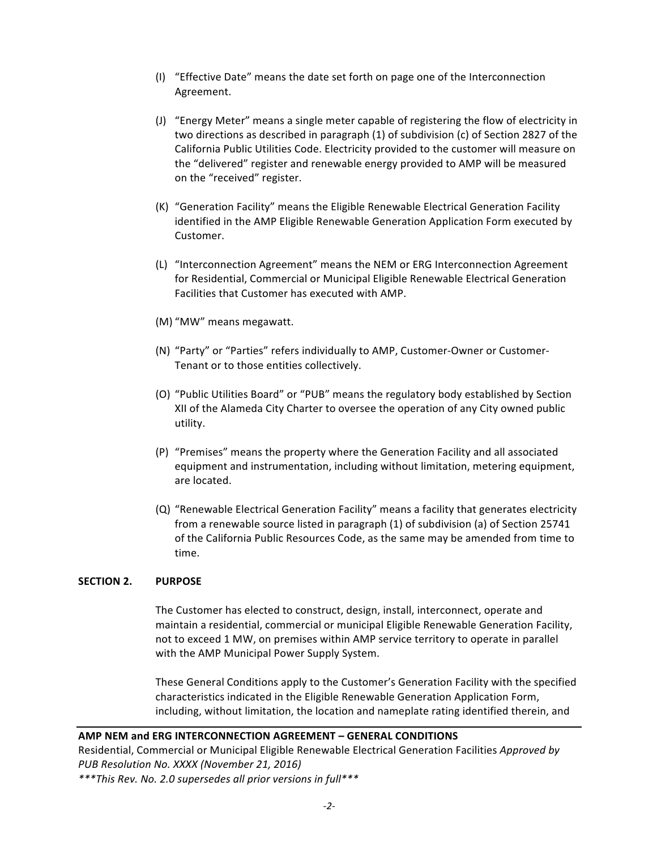- (I) "Effective Date" means the date set forth on page one of the Interconnection Agreement.
- (J) "Energy Meter" means a single meter capable of registering the flow of electricity in two directions as described in paragraph (1) of subdivision (c) of Section 2827 of the California Public Utilities Code. Electricity provided to the customer will measure on the "delivered" register and renewable energy provided to AMP will be measured on the "received" register.
- (K) "Generation Facility" means the Eligible Renewable Electrical Generation Facility identified in the AMP Eligible Renewable Generation Application Form executed by Customer.
- (L) "Interconnection Agreement" means the NEM or ERG Interconnection Agreement for Residential, Commercial or Municipal Eligible Renewable Electrical Generation Facilities that Customer has executed with AMP.
- (M) "MW" means megawatt.
- (N) "Party" or "Parties" refers individually to AMP, Customer-Owner or Customer-Tenant or to those entities collectively.
- (O) "Public Utilities Board" or "PUB" means the regulatory body established by Section XII of the Alameda City Charter to oversee the operation of any City owned public utility.
- (P) "Premises" means the property where the Generation Facility and all associated equipment and instrumentation, including without limitation, metering equipment, are located.
- (Q) "Renewable Electrical Generation Facility" means a facility that generates electricity from a renewable source listed in paragraph (1) of subdivision (a) of Section 25741 of the California Public Resources Code, as the same may be amended from time to time.

# **SECTION 2. PURPOSE**

The Customer has elected to construct, design, install, interconnect, operate and maintain a residential, commercial or municipal Eligible Renewable Generation Facility, not to exceed 1 MW, on premises within AMP service territory to operate in parallel with the AMP Municipal Power Supply System.

These General Conditions apply to the Customer's Generation Facility with the specified characteristics indicated in the Eligible Renewable Generation Application Form, including, without limitation, the location and nameplate rating identified therein, and

#### **AMP NEM and ERG INTERCONNECTION AGREEMENT – GENERAL CONDITIONS**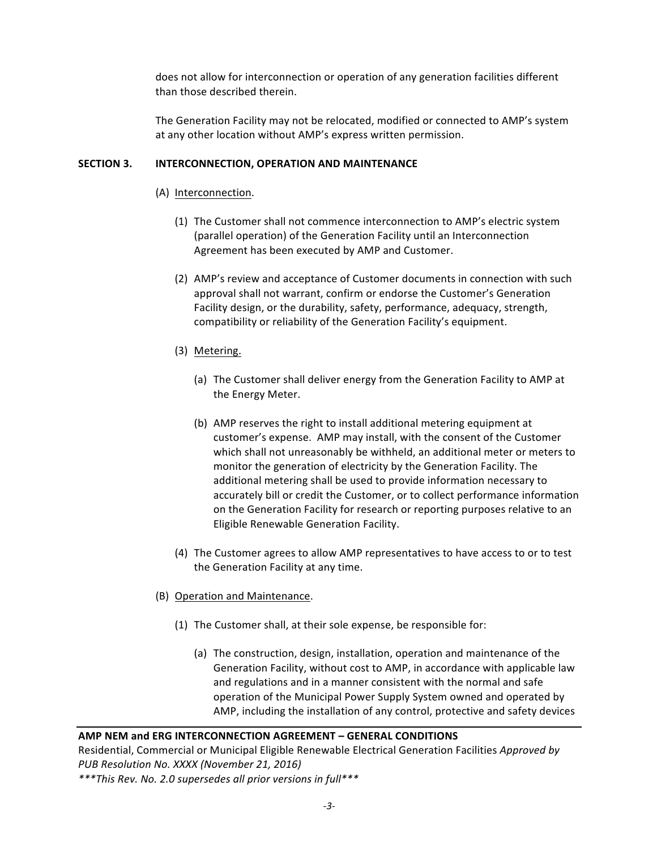does not allow for interconnection or operation of any generation facilities different than those described therein.

The Generation Facility may not be relocated, modified or connected to AMP's system at any other location without AMP's express written permission.

# **SECTION 3. INTERCONNECTION, OPERATION AND MAINTENANCE**

- (A) Interconnection.
	- (1) The Customer shall not commence interconnection to AMP's electric system (parallel operation) of the Generation Facility until an Interconnection Agreement has been executed by AMP and Customer.
	- (2) AMP's review and acceptance of Customer documents in connection with such approval shall not warrant, confirm or endorse the Customer's Generation Facility design, or the durability, safety, performance, adequacy, strength, compatibility or reliability of the Generation Facility's equipment.
	- (3) Metering.
		- (a) The Customer shall deliver energy from the Generation Facility to AMP at the Energy Meter.
		- (b) AMP reserves the right to install additional metering equipment at customer's expense. AMP may install, with the consent of the Customer which shall not unreasonably be withheld, an additional meter or meters to monitor the generation of electricity by the Generation Facility. The additional metering shall be used to provide information necessary to accurately bill or credit the Customer, or to collect performance information on the Generation Facility for research or reporting purposes relative to an Eligible Renewable Generation Facility.
	- (4) The Customer agrees to allow AMP representatives to have access to or to test the Generation Facility at any time.
- (B) Operation and Maintenance.
	- (1) The Customer shall, at their sole expense, be responsible for:
		- (a) The construction, design, installation, operation and maintenance of the Generation Facility, without cost to AMP, in accordance with applicable law and regulations and in a manner consistent with the normal and safe operation of the Municipal Power Supply System owned and operated by AMP, including the installation of any control, protective and safety devices

#### **AMP NEM and ERG INTERCONNECTION AGREEMENT – GENERAL CONDITIONS**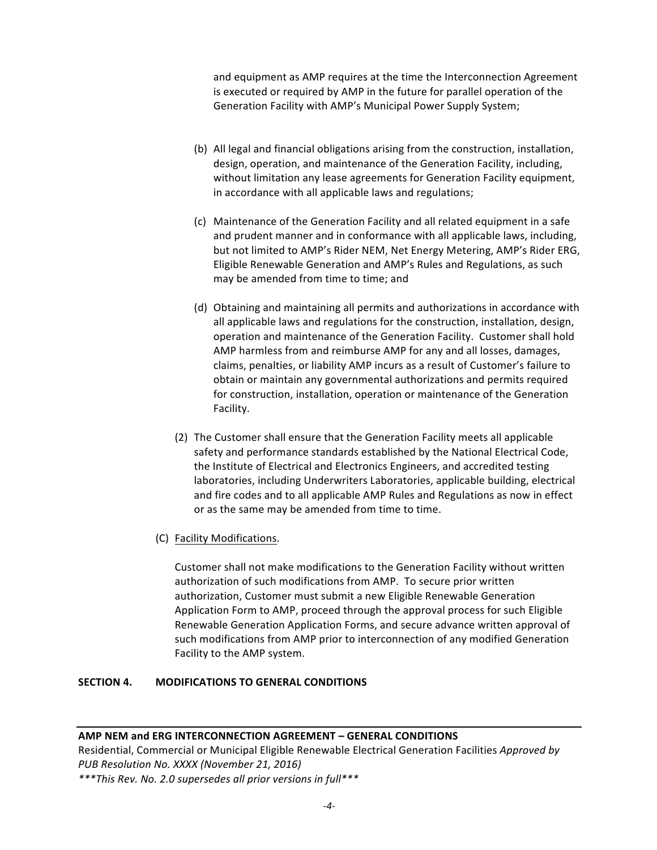and equipment as AMP requires at the time the Interconnection Agreement is executed or required by AMP in the future for parallel operation of the Generation Facility with AMP's Municipal Power Supply System;

- (b) All legal and financial obligations arising from the construction, installation, design, operation, and maintenance of the Generation Facility, including, without limitation any lease agreements for Generation Facility equipment, in accordance with all applicable laws and regulations;
- (c) Maintenance of the Generation Facility and all related equipment in a safe and prudent manner and in conformance with all applicable laws, including, but not limited to AMP's Rider NEM, Net Energy Metering, AMP's Rider ERG, Eligible Renewable Generation and AMP's Rules and Regulations, as such may be amended from time to time; and
- (d) Obtaining and maintaining all permits and authorizations in accordance with all applicable laws and regulations for the construction, installation, design, operation and maintenance of the Generation Facility. Customer shall hold AMP harmless from and reimburse AMP for any and all losses, damages, claims, penalties, or liability AMP incurs as a result of Customer's failure to obtain or maintain any governmental authorizations and permits required for construction, installation, operation or maintenance of the Generation Facility.
- (2) The Customer shall ensure that the Generation Facility meets all applicable safety and performance standards established by the National Electrical Code, the Institute of Electrical and Electronics Engineers, and accredited testing laboratories, including Underwriters Laboratories, applicable building, electrical and fire codes and to all applicable AMP Rules and Regulations as now in effect or as the same may be amended from time to time.
- (C) Facility Modifications.

Customer shall not make modifications to the Generation Facility without written authorization of such modifications from AMP. To secure prior written authorization, Customer must submit a new Eligible Renewable Generation Application Form to AMP, proceed through the approval process for such Eligible Renewable Generation Application Forms, and secure advance written approval of such modifications from AMP prior to interconnection of any modified Generation Facility to the AMP system.

# **SECTION 4. MODIFICATIONS TO GENERAL CONDITIONS**

# **AMP NEM and ERG INTERCONNECTION AGREEMENT – GENERAL CONDITIONS**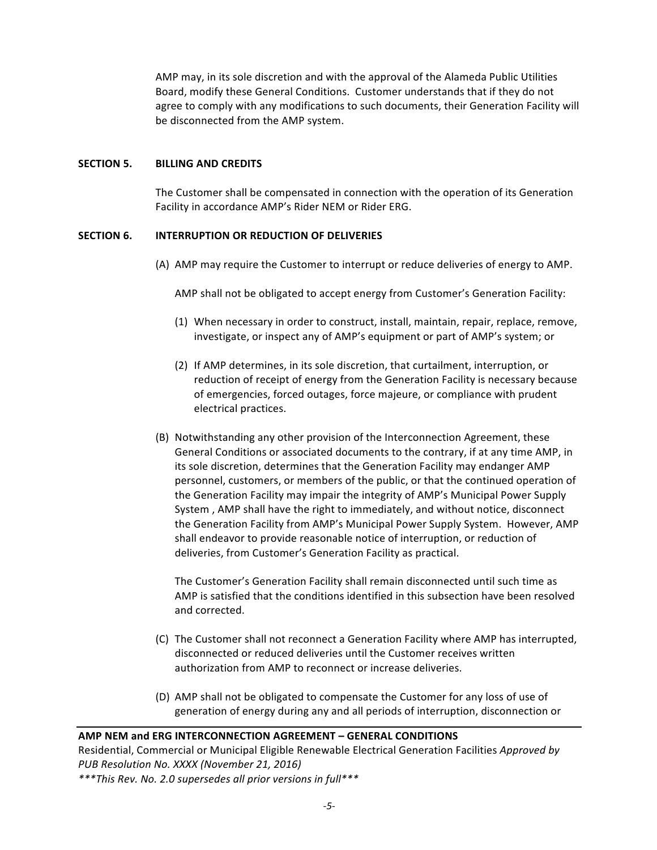AMP may, in its sole discretion and with the approval of the Alameda Public Utilities Board, modify these General Conditions. Customer understands that if they do not agree to comply with any modifications to such documents, their Generation Facility will be disconnected from the AMP system.

#### **SECTION 5. BILLING AND CREDITS**

The Customer shall be compensated in connection with the operation of its Generation Facility in accordance AMP's Rider NEM or Rider ERG.

# **SECTION 6. INTERRUPTION OR REDUCTION OF DELIVERIES**

(A) AMP may require the Customer to interrupt or reduce deliveries of energy to AMP.

AMP shall not be obligated to accept energy from Customer's Generation Facility:

- $(1)$  When necessary in order to construct, install, maintain, repair, replace, remove, investigate, or inspect any of AMP's equipment or part of AMP's system; or
- (2) If AMP determines, in its sole discretion, that curtailment, interruption, or reduction of receipt of energy from the Generation Facility is necessary because of emergencies, forced outages, force majeure, or compliance with prudent electrical practices.
- (B) Notwithstanding any other provision of the Interconnection Agreement, these General Conditions or associated documents to the contrary, if at any time AMP, in its sole discretion, determines that the Generation Facility may endanger AMP personnel, customers, or members of the public, or that the continued operation of the Generation Facility may impair the integrity of AMP's Municipal Power Supply System, AMP shall have the right to immediately, and without notice, disconnect the Generation Facility from AMP's Municipal Power Supply System. However, AMP shall endeavor to provide reasonable notice of interruption, or reduction of deliveries, from Customer's Generation Facility as practical.

The Customer's Generation Facility shall remain disconnected until such time as AMP is satisfied that the conditions identified in this subsection have been resolved and corrected.

- (C) The Customer shall not reconnect a Generation Facility where AMP has interrupted, disconnected or reduced deliveries until the Customer receives written authorization from AMP to reconnect or increase deliveries.
- (D) AMP shall not be obligated to compensate the Customer for any loss of use of generation of energy during any and all periods of interruption, disconnection or

#### **AMP NEM and ERG INTERCONNECTION AGREEMENT - GENERAL CONDITIONS**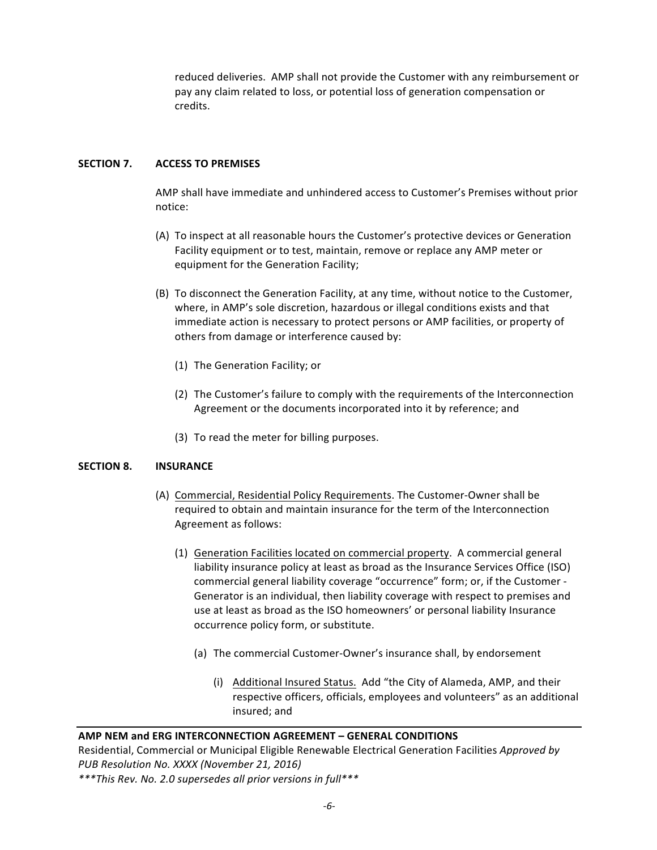reduced deliveries. AMP shall not provide the Customer with any reimbursement or pay any claim related to loss, or potential loss of generation compensation or credits. 

#### **SECTION 7. ACCESS TO PREMISES**

AMP shall have immediate and unhindered access to Customer's Premises without prior notice:

- (A) To inspect at all reasonable hours the Customer's protective devices or Generation Facility equipment or to test, maintain, remove or replace any AMP meter or equipment for the Generation Facility;
- (B) To disconnect the Generation Facility, at any time, without notice to the Customer, where, in AMP's sole discretion, hazardous or illegal conditions exists and that immediate action is necessary to protect persons or AMP facilities, or property of others from damage or interference caused by:
	- (1) The Generation Facility; or
	- (2) The Customer's failure to comply with the requirements of the Interconnection Agreement or the documents incorporated into it by reference; and
	- (3) To read the meter for billing purposes.

#### **SECTION 8. INSURANCE**

- (A) Commercial, Residential Policy Requirements. The Customer-Owner shall be required to obtain and maintain insurance for the term of the Interconnection Agreement as follows:
	- (1) Generation Facilities located on commercial property. A commercial general liability insurance policy at least as broad as the Insurance Services Office (ISO) commercial general liability coverage "occurrence" form; or, if the Customer -Generator is an individual, then liability coverage with respect to premises and use at least as broad as the ISO homeowners' or personal liability Insurance occurrence policy form, or substitute.
		- (a) The commercial Customer-Owner's insurance shall, by endorsement
			- (i) Additional Insured Status. Add "the City of Alameda, AMP, and their respective officers, officials, employees and volunteers" as an additional insured: and

#### **AMP NEM and ERG INTERCONNECTION AGREEMENT – GENERAL CONDITIONS**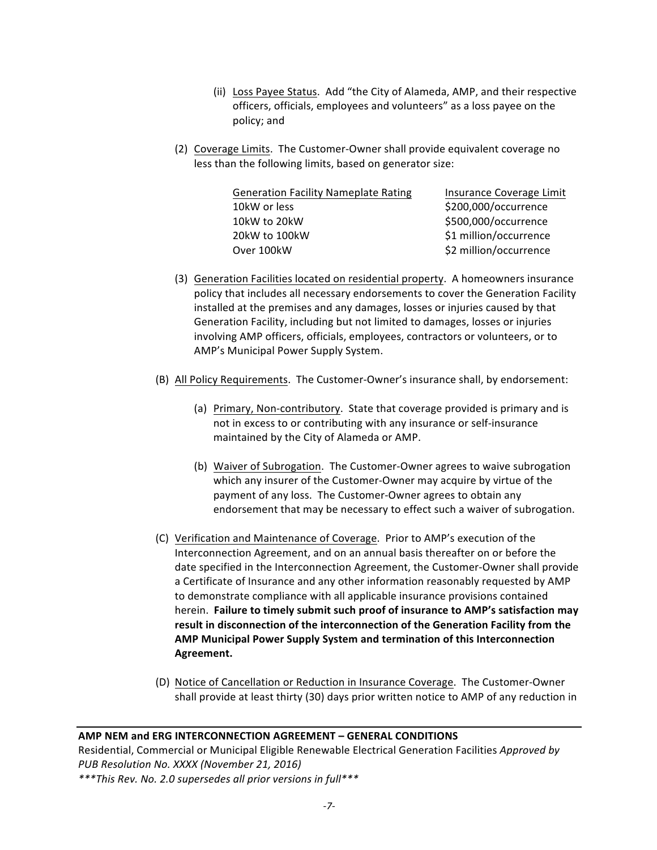- (ii) Loss Payee Status. Add "the City of Alameda, AMP, and their respective officers, officials, employees and volunteers" as a loss payee on the policy; and
- (2) Coverage Limits. The Customer-Owner shall provide equivalent coverage no less than the following limits, based on generator size:

| <b>Generation Facility Nameplate Rating</b> | Insurance Coverage Limit |
|---------------------------------------------|--------------------------|
| 10kW or less                                | \$200,000/occurrence     |
| 10kW to 20kW                                | \$500,000/occurrence     |
| 20kW to 100kW                               | \$1 million/occurrence   |
| Over 100kW                                  | \$2 million/occurrence   |

- (3) Generation Facilities located on residential property. A homeowners insurance policy that includes all necessary endorsements to cover the Generation Facility installed at the premises and any damages, losses or injuries caused by that Generation Facility, including but not limited to damages, losses or injuries involving AMP officers, officials, employees, contractors or volunteers, or to AMP's Municipal Power Supply System.
- (B) All Policy Requirements. The Customer-Owner's insurance shall, by endorsement:
	- (a) Primary, Non-contributory. State that coverage provided is primary and is not in excess to or contributing with any insurance or self-insurance maintained by the City of Alameda or AMP.
	- (b) Waiver of Subrogation. The Customer-Owner agrees to waive subrogation which any insurer of the Customer-Owner may acquire by virtue of the payment of any loss. The Customer-Owner agrees to obtain any endorsement that may be necessary to effect such a waiver of subrogation.
- (C) Verification and Maintenance of Coverage. Prior to AMP's execution of the Interconnection Agreement, and on an annual basis thereafter on or before the date specified in the Interconnection Agreement, the Customer-Owner shall provide a Certificate of Insurance and any other information reasonably requested by AMP to demonstrate compliance with all applicable insurance provisions contained herein. Failure to timely submit such proof of insurance to AMP's satisfaction may result in disconnection of the interconnection of the Generation Facility from the **AMP Municipal Power Supply System and termination of this Interconnection Agreement.**
- (D) Notice of Cancellation or Reduction in Insurance Coverage. The Customer-Owner shall provide at least thirty (30) days prior written notice to AMP of any reduction in

#### **AMP NEM and ERG INTERCONNECTION AGREEMENT – GENERAL CONDITIONS**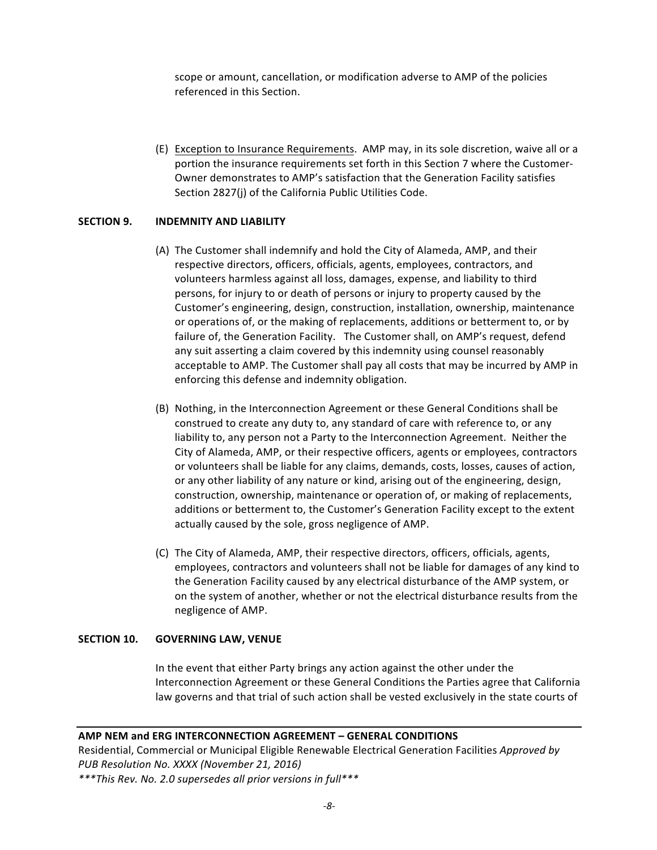scope or amount, cancellation, or modification adverse to AMP of the policies referenced in this Section.

(E) Exception to Insurance Requirements. AMP may, in its sole discretion, waive all or a portion the insurance requirements set forth in this Section 7 where the Customer-Owner demonstrates to AMP's satisfaction that the Generation Facility satisfies Section 2827(j) of the California Public Utilities Code.

#### **SECTION 9. INDEMNITY AND LIABILITY**

- (A) The Customer shall indemnify and hold the City of Alameda, AMP, and their respective directors, officers, officials, agents, employees, contractors, and volunteers harmless against all loss, damages, expense, and liability to third persons, for injury to or death of persons or injury to property caused by the Customer's engineering, design, construction, installation, ownership, maintenance or operations of, or the making of replacements, additions or betterment to, or by failure of, the Generation Facility. The Customer shall, on AMP's request, defend any suit asserting a claim covered by this indemnity using counsel reasonably acceptable to AMP. The Customer shall pay all costs that may be incurred by AMP in enforcing this defense and indemnity obligation.
- (B) Nothing, in the Interconnection Agreement or these General Conditions shall be construed to create any duty to, any standard of care with reference to, or any liability to, any person not a Party to the Interconnection Agreement. Neither the City of Alameda, AMP, or their respective officers, agents or employees, contractors or volunteers shall be liable for any claims, demands, costs, losses, causes of action, or any other liability of any nature or kind, arising out of the engineering, design, construction, ownership, maintenance or operation of, or making of replacements, additions or betterment to, the Customer's Generation Facility except to the extent actually caused by the sole, gross negligence of AMP.
- (C) The City of Alameda, AMP, their respective directors, officers, officials, agents, employees, contractors and volunteers shall not be liable for damages of any kind to the Generation Facility caused by any electrical disturbance of the AMP system, or on the system of another, whether or not the electrical disturbance results from the negligence of AMP.

#### **SECTION 10. GOVERNING LAW, VENUE**

In the event that either Party brings any action against the other under the Interconnection Agreement or these General Conditions the Parties agree that California law governs and that trial of such action shall be vested exclusively in the state courts of

# **AMP NEM and ERG INTERCONNECTION AGREEMENT – GENERAL CONDITIONS**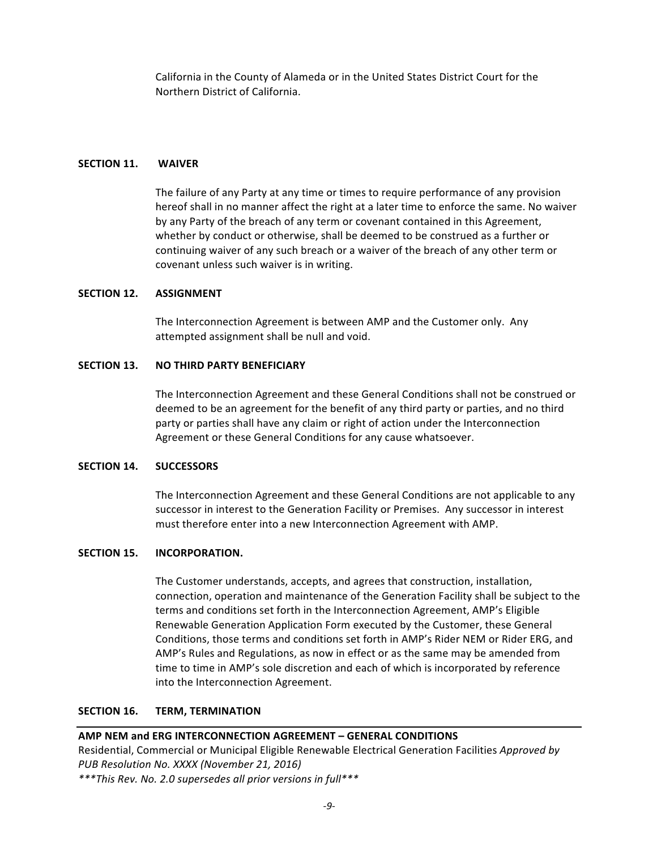California in the County of Alameda or in the United States District Court for the Northern District of California.

#### **SECTION 11. WAIVER**

The failure of any Party at any time or times to require performance of any provision hereof shall in no manner affect the right at a later time to enforce the same. No waiver by any Party of the breach of any term or covenant contained in this Agreement, whether by conduct or otherwise, shall be deemed to be construed as a further or continuing waiver of any such breach or a waiver of the breach of any other term or covenant unless such waiver is in writing.

#### **SECTION 12. ASSIGNMENT**

The Interconnection Agreement is between AMP and the Customer only. Any attempted assignment shall be null and void.

#### **SECTION 13. NO THIRD PARTY BENEFICIARY**

The Interconnection Agreement and these General Conditions shall not be construed or deemed to be an agreement for the benefit of any third party or parties, and no third party or parties shall have any claim or right of action under the Interconnection Agreement or these General Conditions for any cause whatsoever.

#### **SECTION 14. SUCCESSORS**

The Interconnection Agreement and these General Conditions are not applicable to any successor in interest to the Generation Facility or Premises. Any successor in interest must therefore enter into a new Interconnection Agreement with AMP.

#### **SECTION 15. INCORPORATION.**

The Customer understands, accepts, and agrees that construction, installation, connection, operation and maintenance of the Generation Facility shall be subject to the terms and conditions set forth in the Interconnection Agreement, AMP's Eligible Renewable Generation Application Form executed by the Customer, these General Conditions, those terms and conditions set forth in AMP's Rider NEM or Rider ERG, and AMP's Rules and Regulations, as now in effect or as the same may be amended from time to time in AMP's sole discretion and each of which is incorporated by reference into the Interconnection Agreement.

#### **SECTION 16. TERM. TERMINATION**

# **AMP NEM and ERG INTERCONNECTION AGREEMENT - GENERAL CONDITIONS**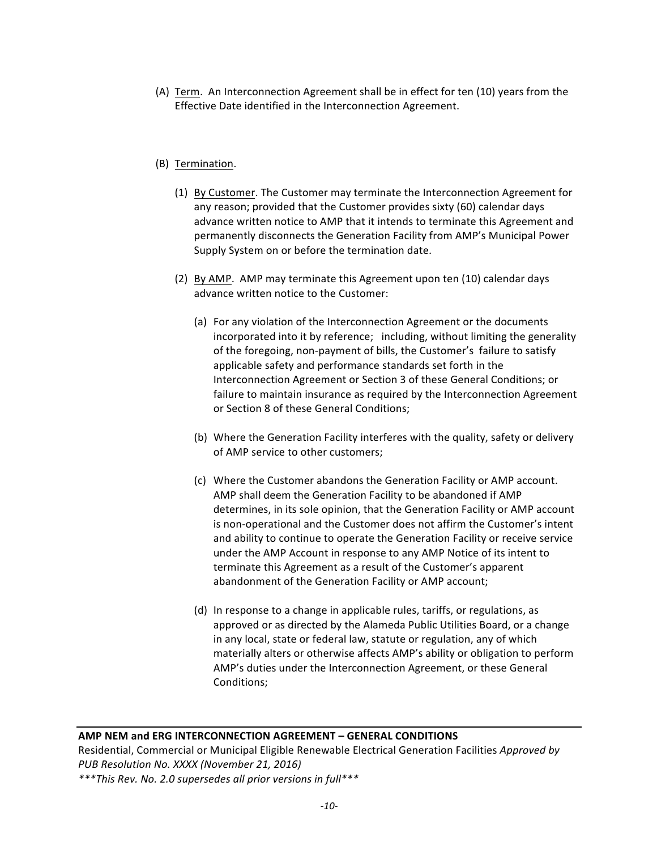(A) Term. An Interconnection Agreement shall be in effect for ten (10) years from the Effective Date identified in the Interconnection Agreement.

# (B) Termination.

- (1) By Customer. The Customer may terminate the Interconnection Agreement for any reason; provided that the Customer provides sixty (60) calendar days advance written notice to AMP that it intends to terminate this Agreement and permanently disconnects the Generation Facility from AMP's Municipal Power Supply System on or before the termination date.
- (2) By AMP. AMP may terminate this Agreement upon ten (10) calendar days advance written notice to the Customer:
	- (a) For any violation of the Interconnection Agreement or the documents incorporated into it by reference; including, without limiting the generality of the foregoing, non-payment of bills, the Customer's failure to satisfy applicable safety and performance standards set forth in the Interconnection Agreement or Section 3 of these General Conditions; or failure to maintain insurance as required by the Interconnection Agreement or Section 8 of these General Conditions;
	- (b) Where the Generation Facility interferes with the quality, safety or delivery of AMP service to other customers;
	- (c) Where the Customer abandons the Generation Facility or AMP account. AMP shall deem the Generation Facility to be abandoned if AMP determines, in its sole opinion, that the Generation Facility or AMP account is non-operational and the Customer does not affirm the Customer's intent and ability to continue to operate the Generation Facility or receive service under the AMP Account in response to any AMP Notice of its intent to terminate this Agreement as a result of the Customer's apparent abandonment of the Generation Facility or AMP account;
	- (d) In response to a change in applicable rules, tariffs, or regulations, as approved or as directed by the Alameda Public Utilities Board, or a change in any local, state or federal law, statute or regulation, any of which materially alters or otherwise affects AMP's ability or obligation to perform AMP's duties under the Interconnection Agreement, or these General Conditions;

# **AMP NEM and ERG INTERCONNECTION AGREEMENT – GENERAL CONDITIONS**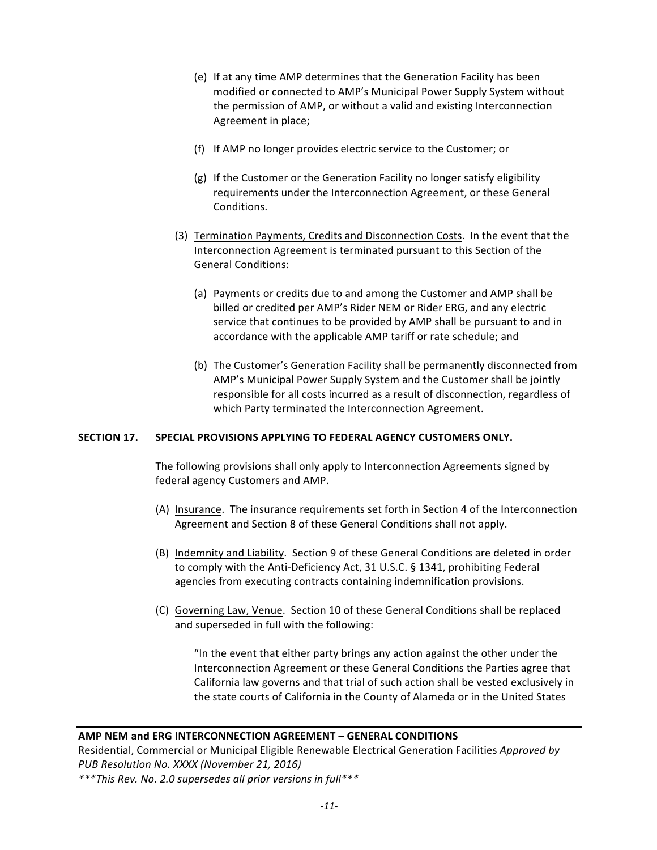- (e) If at any time AMP determines that the Generation Facility has been modified or connected to AMP's Municipal Power Supply System without the permission of AMP, or without a valid and existing Interconnection Agreement in place;
- (f) If AMP no longer provides electric service to the Customer; or
- $(g)$  If the Customer or the Generation Facility no longer satisfy eligibility requirements under the Interconnection Agreement, or these General Conditions.
- (3) Termination Payments, Credits and Disconnection Costs. In the event that the Interconnection Agreement is terminated pursuant to this Section of the General Conditions:
	- (a) Payments or credits due to and among the Customer and AMP shall be billed or credited per AMP's Rider NEM or Rider ERG, and any electric service that continues to be provided by AMP shall be pursuant to and in accordance with the applicable AMP tariff or rate schedule; and
	- (b) The Customer's Generation Facility shall be permanently disconnected from AMP's Municipal Power Supply System and the Customer shall be jointly responsible for all costs incurred as a result of disconnection, regardless of which Party terminated the Interconnection Agreement.

# **SECTION 17. SPECIAL PROVISIONS APPLYING TO FEDERAL AGENCY CUSTOMERS ONLY.**

The following provisions shall only apply to Interconnection Agreements signed by federal agency Customers and AMP.

- (A) Insurance. The insurance requirements set forth in Section 4 of the Interconnection Agreement and Section 8 of these General Conditions shall not apply.
- (B) Indemnity and Liability. Section 9 of these General Conditions are deleted in order to comply with the Anti-Deficiency Act, 31 U.S.C. § 1341, prohibiting Federal agencies from executing contracts containing indemnification provisions.
- (C) Governing Law, Venue. Section 10 of these General Conditions shall be replaced and superseded in full with the following:

"In the event that either party brings any action against the other under the Interconnection Agreement or these General Conditions the Parties agree that California law governs and that trial of such action shall be vested exclusively in the state courts of California in the County of Alameda or in the United States

#### **AMP NEM and ERG INTERCONNECTION AGREEMENT – GENERAL CONDITIONS**